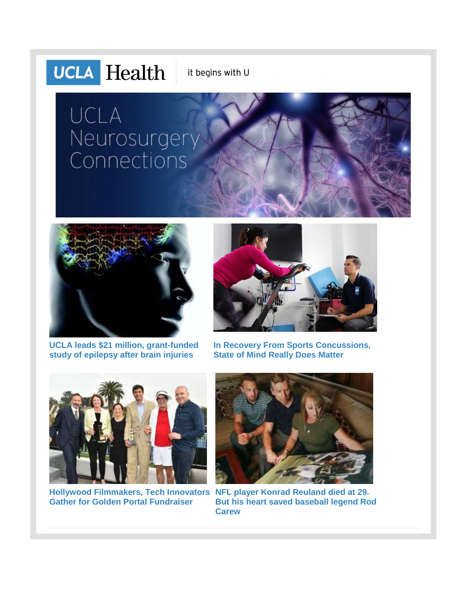# **UCLA** Health

it begins with U

# UCLA Neurosurgery Connections



**[UCLA leads \\$21 million, grant-funded](http://r20.rs6.net/tn.jsp?f=001c49F_qlK-M7U3a-AqJQmefS5U-LZMnxFM3KacjI5WeHq1YcW5TY2m0D8i841Z3lMeAmKd--y3S5vIsbvCnBXJHtdee5WnrGPyCUDGWSeL6qtulJmVrfp5kAFr3VYkBXQpwmnSiNy3vcfB9Z457zW5gxYQMx87k99ogVBfyU_jgXhpBUdDPGcAASNnGb0bT9J1e8tE6wsS-uqypRUZWPzZLag8iOV6QW70THAEdl1ojlX7c0DfRtxiyU3ZcJU82F12cKAoYTlIyk0dIRWOFTYQk3YvY9a2UtW&c=Xs6zlEr44Jf30r9cpeNsXklDrmn2OcEGHOjARNZ216XP3Srq_uaSTA==&ch=5RHCMMEc1adVT67FSunsbi1-04_-XF2tRO8tk2Msp4Zp9NpNaIhWJA==)  study of [epilepsy after brain injuries](http://r20.rs6.net/tn.jsp?f=001c49F_qlK-M7U3a-AqJQmefS5U-LZMnxFM3KacjI5WeHq1YcW5TY2m0D8i841Z3lMeAmKd--y3S5vIsbvCnBXJHtdee5WnrGPyCUDGWSeL6qtulJmVrfp5kAFr3VYkBXQpwmnSiNy3vcfB9Z457zW5gxYQMx87k99ogVBfyU_jgXhpBUdDPGcAASNnGb0bT9J1e8tE6wsS-uqypRUZWPzZLag8iOV6QW70THAEdl1ojlX7c0DfRtxiyU3ZcJU82F12cKAoYTlIyk0dIRWOFTYQk3YvY9a2UtW&c=Xs6zlEr44Jf30r9cpeNsXklDrmn2OcEGHOjARNZ216XP3Srq_uaSTA==&ch=5RHCMMEc1adVT67FSunsbi1-04_-XF2tRO8tk2Msp4Zp9NpNaIhWJA==)**



**[In Recovery From Sports Concussions,](http://r20.rs6.net/tn.jsp?f=001c49F_qlK-M7U3a-AqJQmefS5U-LZMnxFM3KacjI5WeHq1YcW5TY2m347uANiLrCofn8H0RndeZky-_moN6K_3abfh9KaGZj8SJBZOAXOi7oF5bnCJ-gfg988oaaZ59M8BdwBIr22JkpKss-jQvIAju4LDrjSOO-aEpXRyF3lbDrrpvwQXoydWLGEzoCrx4aUqWsLlsdzEA1d4tKP67I0POXubTL5sR5MWcXJP16BLv5X7n7De4YidCdbG5hSVmhJd7dFvbl-kDQ=&c=Xs6zlEr44Jf30r9cpeNsXklDrmn2OcEGHOjARNZ216XP3Srq_uaSTA==&ch=5RHCMMEc1adVT67FSunsbi1-04_-XF2tRO8tk2Msp4Zp9NpNaIhWJA==)  [State of Mind Really Does Matter](http://r20.rs6.net/tn.jsp?f=001c49F_qlK-M7U3a-AqJQmefS5U-LZMnxFM3KacjI5WeHq1YcW5TY2m347uANiLrCofn8H0RndeZky-_moN6K_3abfh9KaGZj8SJBZOAXOi7oF5bnCJ-gfg988oaaZ59M8BdwBIr22JkpKss-jQvIAju4LDrjSOO-aEpXRyF3lbDrrpvwQXoydWLGEzoCrx4aUqWsLlsdzEA1d4tKP67I0POXubTL5sR5MWcXJP16BLv5X7n7De4YidCdbG5hSVmhJd7dFvbl-kDQ=&c=Xs6zlEr44Jf30r9cpeNsXklDrmn2OcEGHOjARNZ216XP3Srq_uaSTA==&ch=5RHCMMEc1adVT67FSunsbi1-04_-XF2tRO8tk2Msp4Zp9NpNaIhWJA==)**



**[Hollywood Filmmakers,](http://r20.rs6.net/tn.jsp?f=001c49F_qlK-M7U3a-AqJQmefS5U-LZMnxFM3KacjI5WeHq1YcW5TY2m347uANiLrCoJB_fOGJeVLODsk49f1YFxVubnBtDIgJSvXOMQ2ep5bJbXxSdT9dgCgI67cPotSVCXZTwDCql4rEInmkUQbfMnBPxyb8usQ5yExSY3QvGgy2BTHydSZV5VfU1SDWim2pugdo_BnHoBWaHR4RBfBQ6cJzlnTw-afxBjJ35lU8e0iDdJi4Ona-upTpUqBA1lnWMRra5PVTKI7a0X5Ihztzuy06dfcRyaOxrKX8vRD-_Uf0m5179a5aqoQ==&c=Xs6zlEr44Jf30r9cpeNsXklDrmn2OcEGHOjARNZ216XP3Srq_uaSTA==&ch=5RHCMMEc1adVT67FSunsbi1-04_-XF2tRO8tk2Msp4Zp9NpNaIhWJA==) Tech Innovators [NFL player Konrad Reuland died at 29.](http://r20.rs6.net/tn.jsp?f=001c49F_qlK-M7U3a-AqJQmefS5U-LZMnxFM3KacjI5WeHq1YcW5TY2m347uANiLrCoibqLUHc3nLZSjag5Tmu32Wwx3yx45xpp0M_P4McZL2ugQwXW_z7iW34xrRbcw-HPn44UmCU34_xgJI-THJCkDpc-EfNtBcrXDaqThkyAIZhiDRUsimKvWsbjM7B6hy-oavKmmAdW9B-uUVe1lsd46ShpmbCxCFSLH1noXjzd0rNdVYlgl6C53GuQs2EChm-J&c=Xs6zlEr44Jf30r9cpeNsXklDrmn2OcEGHOjARNZ216XP3Srq_uaSTA==&ch=5RHCMMEc1adVT67FSunsbi1-04_-XF2tRO8tk2Msp4Zp9NpNaIhWJA==)  [Gather for Golden Portal Fundraiser](http://r20.rs6.net/tn.jsp?f=001c49F_qlK-M7U3a-AqJQmefS5U-LZMnxFM3KacjI5WeHq1YcW5TY2m347uANiLrCoJB_fOGJeVLODsk49f1YFxVubnBtDIgJSvXOMQ2ep5bJbXxSdT9dgCgI67cPotSVCXZTwDCql4rEInmkUQbfMnBPxyb8usQ5yExSY3QvGgy2BTHydSZV5VfU1SDWim2pugdo_BnHoBWaHR4RBfBQ6cJzlnTw-afxBjJ35lU8e0iDdJi4Ona-upTpUqBA1lnWMRra5PVTKI7a0X5Ihztzuy06dfcRyaOxrKX8vRD-_Uf0m5179a5aqoQ==&c=Xs6zlEr44Jf30r9cpeNsXklDrmn2OcEGHOjARNZ216XP3Srq_uaSTA==&ch=5RHCMMEc1adVT67FSunsbi1-04_-XF2tRO8tk2Msp4Zp9NpNaIhWJA==)**



**[But his heart saved baseball legend Rod](http://r20.rs6.net/tn.jsp?f=001c49F_qlK-M7U3a-AqJQmefS5U-LZMnxFM3KacjI5WeHq1YcW5TY2m347uANiLrCoibqLUHc3nLZSjag5Tmu32Wwx3yx45xpp0M_P4McZL2ugQwXW_z7iW34xrRbcw-HPn44UmCU34_xgJI-THJCkDpc-EfNtBcrXDaqThkyAIZhiDRUsimKvWsbjM7B6hy-oavKmmAdW9B-uUVe1lsd46ShpmbCxCFSLH1noXjzd0rNdVYlgl6C53GuQs2EChm-J&c=Xs6zlEr44Jf30r9cpeNsXklDrmn2OcEGHOjARNZ216XP3Srq_uaSTA==&ch=5RHCMMEc1adVT67FSunsbi1-04_-XF2tRO8tk2Msp4Zp9NpNaIhWJA==)  [Carew](http://r20.rs6.net/tn.jsp?f=001c49F_qlK-M7U3a-AqJQmefS5U-LZMnxFM3KacjI5WeHq1YcW5TY2m347uANiLrCoibqLUHc3nLZSjag5Tmu32Wwx3yx45xpp0M_P4McZL2ugQwXW_z7iW34xrRbcw-HPn44UmCU34_xgJI-THJCkDpc-EfNtBcrXDaqThkyAIZhiDRUsimKvWsbjM7B6hy-oavKmmAdW9B-uUVe1lsd46ShpmbCxCFSLH1noXjzd0rNdVYlgl6C53GuQs2EChm-J&c=Xs6zlEr44Jf30r9cpeNsXklDrmn2OcEGHOjARNZ216XP3Srq_uaSTA==&ch=5RHCMMEc1adVT67FSunsbi1-04_-XF2tRO8tk2Msp4Zp9NpNaIhWJA==)**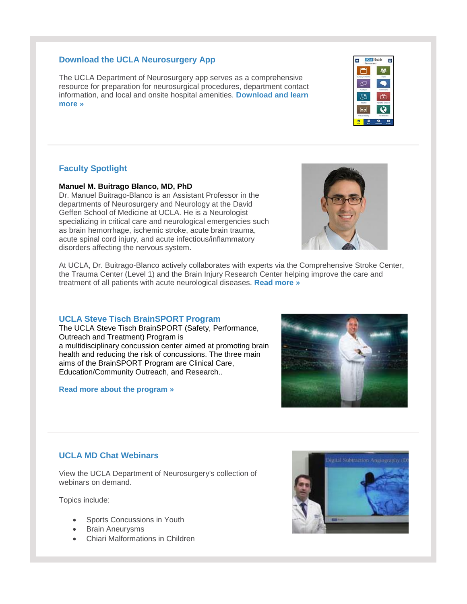#### **Download the UCLA Neurosurgery App**

The UCLA Department of Neurosurgery app serves as a comprehensive resource for preparation for neurosurgical procedures, department contact information, and local and onsite hospital amenities. **[Download and learn](http://r20.rs6.net/tn.jsp?f=001c49F_qlK-M7U3a-AqJQmefS5U-LZMnxFM3KacjI5WeHq1YcW5TY2m9yh968dTitv12QXpSpqGe3MNe9V_SWe4gUFr-MluKTu03CLhieDxgOSTISyD9KAfan8YWR8adFYe51wt3WEOBgIelHsMyPIlXUH1fcgryhQl95XqALqro_Fh8pMzL0qP2O4ZSc43BvxiigDtp8hs64YyVwLoS8W9A==&c=Xs6zlEr44Jf30r9cpeNsXklDrmn2OcEGHOjARNZ216XP3Srq_uaSTA==&ch=5RHCMMEc1adVT67FSunsbi1-04_-XF2tRO8tk2Msp4Zp9NpNaIhWJA==)  [more »](http://r20.rs6.net/tn.jsp?f=001c49F_qlK-M7U3a-AqJQmefS5U-LZMnxFM3KacjI5WeHq1YcW5TY2m9yh968dTitv12QXpSpqGe3MNe9V_SWe4gUFr-MluKTu03CLhieDxgOSTISyD9KAfan8YWR8adFYe51wt3WEOBgIelHsMyPIlXUH1fcgryhQl95XqALqro_Fh8pMzL0qP2O4ZSc43BvxiigDtp8hs64YyVwLoS8W9A==&c=Xs6zlEr44Jf30r9cpeNsXklDrmn2OcEGHOjARNZ216XP3Srq_uaSTA==&ch=5RHCMMEc1adVT67FSunsbi1-04_-XF2tRO8tk2Msp4Zp9NpNaIhWJA==)**

#### **Faculty Spotlight**

**Manuel M. Buitrago Blanco, MD, PhD**

Dr. Manuel Buitrago-Blanco is an Assistant Professor in the departments of Neurosurgery and Neurology at the David Geffen School of Medicine at UCLA. He is a Neurologist specializing in critical care and neurological emergencies such as brain hemorrhage, ischemic stroke, acute brain trauma, acute spinal cord injury, and acute infectious/inflammatory disorders affecting the nervous system.

At UCLA, Dr. Buitrago-Blanco actively collaborates with experts via the Comprehensive Stroke Center, the Trauma Center (Level 1) and the Brain Injury Research Center helping improve the care and treatment of all patients with acute neurological diseases. **[Read more »](http://r20.rs6.net/tn.jsp?f=001c49F_qlK-M7U3a-AqJQmefS5U-LZMnxFM3KacjI5WeHq1YcW5TY2m347uANiLrCoR9YD6KiHCizXwiZiwk7RMLTd4GBC5Uf8xnwhbcLYgoSTeXx1fnm7X3Bk3AxeAFNZEyAWnp7CoDpo8qhU-o9AHWDkU50Uwlhk4wTY4pO7J5x09VMGn5JWAIpZ--mab6gT-McyfwOVgKc=&c=Xs6zlEr44Jf30r9cpeNsXklDrmn2OcEGHOjARNZ216XP3Srq_uaSTA==&ch=5RHCMMEc1adVT67FSunsbi1-04_-XF2tRO8tk2Msp4Zp9NpNaIhWJA==)**

#### **UCLA Steve Tisch BrainSPORT Program**

The UCLA Steve Tisch BrainSPORT (Safety, Performance, Outreach and Treatment) Program is a multidisciplinary concussion center aimed at promoting brain health and reducing the risk of concussions. The three main aims of the BrainSPORT Program are Clinical Care, Education/Community Outreach, and Research..

**[Read more about the program »](http://r20.rs6.net/tn.jsp?f=001c49F_qlK-M7U3a-AqJQmefS5U-LZMnxFM3KacjI5WeHq1YcW5TY2m347uANiLrCo_wMmZC1voRAnQcHpzP5YadR1jdsHFP5WHitrVzFKoUiEbZjJB3dj1PJrkLZAA55MRimEEASWqYQMMtrYUZqZ51APkxxD2PQo9klAd-YOkGFLUYBV6ks55YJ1PNxP6Ayf_2U7MltU4Zw0_3IfXys_QA==&c=Xs6zlEr44Jf30r9cpeNsXklDrmn2OcEGHOjARNZ216XP3Srq_uaSTA==&ch=5RHCMMEc1adVT67FSunsbi1-04_-XF2tRO8tk2Msp4Zp9NpNaIhWJA==)**

### **UCLA MD Chat Webinars**

View the UCLA Department of Neurosurgery's collection of webinars on demand.

Topics include:

- Sports Concussions in Youth
- Brain Aneurysms
- Chiari Malformations in Children